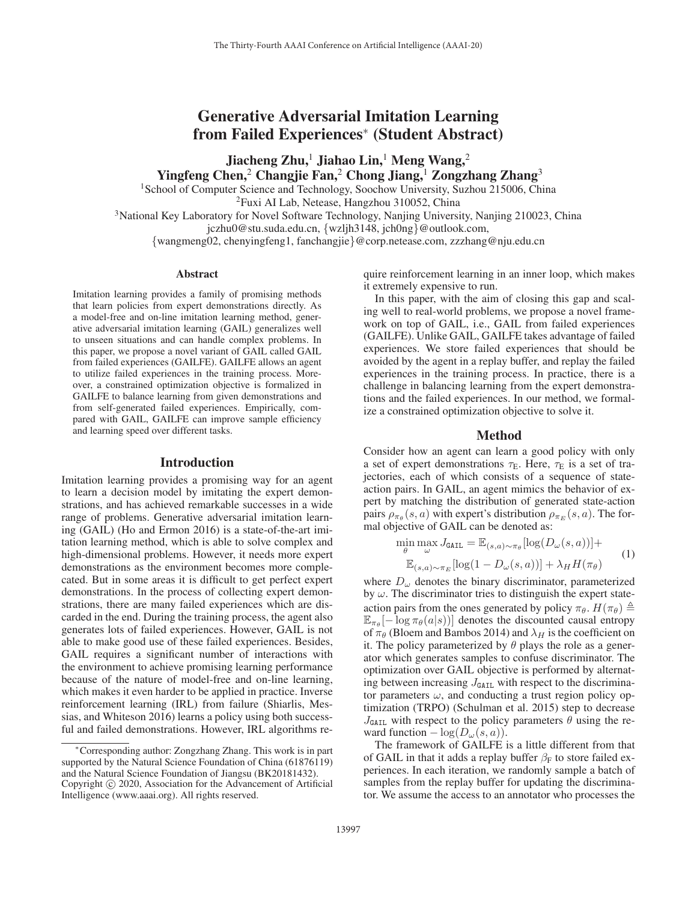# Generative Adversarial Imitation Learning from Failed Experiences<sup>∗</sup> (Student Abstract)

Jiacheng Zhu,<sup>1</sup> Jiahao Lin,<sup>1</sup> Meng Wang,<sup>2</sup> Yingfeng Chen,<sup>2</sup> Changjie Fan,<sup>2</sup> Chong Jiang,<sup>1</sup> Zongzhang Zhang<sup>3</sup>

<sup>1</sup>School of Computer Science and Technology, Soochow University, Suzhou 215006, China

2Fuxi AI Lab, Netease, Hangzhou 310052, China

3National Key Laboratory for Novel Software Technology, Nanjing University, Nanjing 210023, China jczhu0@stu.suda.edu.cn, {wzljh3148, jch0ng}@outlook.com,

{wangmeng02, chenyingfeng1, fanchangjie}@corp.netease.com, zzzhang@nju.edu.cn

# Abstract

Imitation learning provides a family of promising methods that learn policies from expert demonstrations directly. As a model-free and on-line imitation learning method, generative adversarial imitation learning (GAIL) generalizes well to unseen situations and can handle complex problems. In this paper, we propose a novel variant of GAIL called GAIL from failed experiences (GAILFE). GAILFE allows an agent to utilize failed experiences in the training process. Moreover, a constrained optimization objective is formalized in GAILFE to balance learning from given demonstrations and from self-generated failed experiences. Empirically, compared with GAIL, GAILFE can improve sample efficiency and learning speed over different tasks.

# Introduction

Imitation learning provides a promising way for an agent to learn a decision model by imitating the expert demonstrations, and has achieved remarkable successes in a wide range of problems. Generative adversarial imitation learning (GAIL) (Ho and Ermon 2016) is a state-of-the-art imitation learning method, which is able to solve complex and high-dimensional problems. However, it needs more expert demonstrations as the environment becomes more complecated. But in some areas it is difficult to get perfect expert demonstrations. In the process of collecting expert demonstrations, there are many failed experiences which are discarded in the end. During the training process, the agent also generates lots of failed experiences. However, GAIL is not able to make good use of these failed experiences. Besides, GAIL requires a significant number of interactions with the environment to achieve promising learning performance because of the nature of model-free and on-line learning, which makes it even harder to be applied in practice. Inverse reinforcement learning (IRL) from failure (Shiarlis, Messias, and Whiteson 2016) learns a policy using both successful and failed demonstrations. However, IRL algorithms re-

quire reinforcement learning in an inner loop, which makes it extremely expensive to run.

In this paper, with the aim of closing this gap and scaling well to real-world problems, we propose a novel framework on top of GAIL, i.e., GAIL from failed experiences (GAILFE). Unlike GAIL, GAILFE takes advantage of failed experiences. We store failed experiences that should be avoided by the agent in a replay buffer, and replay the failed experiences in the training process. In practice, there is a challenge in balancing learning from the expert demonstrations and the failed experiences. In our method, we formalize a constrained optimization objective to solve it.

#### Method

Consider how an agent can learn a good policy with only a set of expert demonstrations  $\tau_{\rm E}$ . Here,  $\tau_{\rm E}$  is a set of trajectories, each of which consists of a sequence of stateaction pairs. In GAIL, an agent mimics the behavior of expert by matching the distribution of generated state-action pairs  $\rho_{\pi_{\theta}}(s, a)$  with expert's distribution  $\rho_{\pi_E}(s, a)$ . The formal objective of GAIL can be denoted as:

$$
\min_{\theta} \max_{\omega} J_{\text{GAIL}} = \mathbb{E}_{(s,a)\sim\pi_{\theta}}[\log(D_{\omega}(s,a))] + \mathbb{E}_{(s,a)\sim\pi_{E}}[\log(1 - D_{\omega}(s,a))] + \lambda_{H} H(\pi_{\theta})
$$
\n(1)

where  $D_{\omega}$  denotes the binary discriminator, parameterized by  $\omega$ . The discriminator tries to distinguish the expert stateaction pairs from the ones generated by policy  $\pi_{\theta}$ .  $H(\pi_{\theta}) \triangleq$ <br> $\mathbb{E}_{\theta}$  -  $[-\log \pi_{\theta}(a|s)]$  denotes the discounted causal entrony  $\mathbb{E}_{\pi_{\theta}}[-\log \pi_{\theta}(a|s))]$  denotes the discounted causal entropy of  $\pi_{\theta}$  (Bloem and Bambos 2014) and  $\lambda_H$  is the coefficient on it. The policy parameterized by  $\theta$  plays the role as a generator which generates samples to confuse discriminator. The optimization over GAIL objective is performed by alternating between increasing  $J<sub>GAIL</sub>$  with respect to the discriminator parameters  $\omega$ , and conducting a trust region policy optimization (TRPO) (Schulman et al. 2015) step to decrease  $J<sub>GAIL</sub>$  with respect to the policy parameters  $\theta$  using the reward function  $-\log(D_{\omega}(s, a)).$ 

The framework of GAILFE is a little different from that of GAIL in that it adds a replay buffer  $\beta_F$  to store failed experiences. In each iteration, we randomly sample a batch of samples from the replay buffer for updating the discriminator. We assume the access to an annotator who processes the

<sup>∗</sup>Corresponding author: Zongzhang Zhang. This work is in part supported by the Natural Science Foundation of China (61876119) and the Natural Science Foundation of Jiangsu (BK20181432). Copyright  $\odot$  2020, Association for the Advancement of Artificial Intelligence (www.aaai.org). All rights reserved.